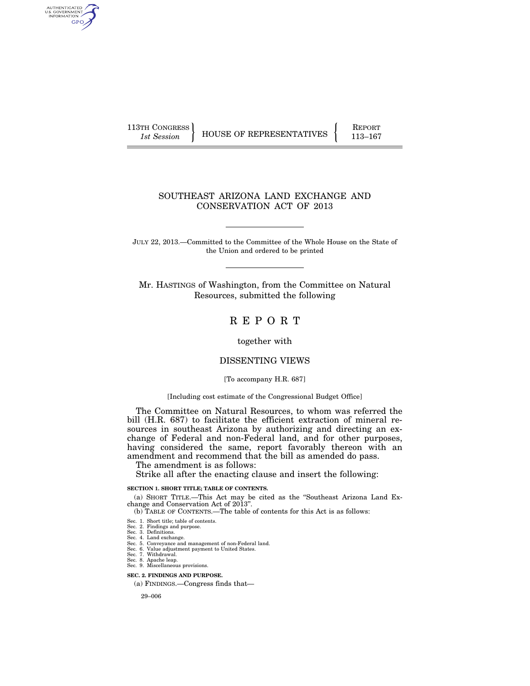AUTHENTICATED<br>U.S. GOVERNMENT<br>INFORMATION **GPO** 

113TH CONGRESS HOUSE OF REPRESENTATIVES FEPORT 113-167

# SOUTHEAST ARIZONA LAND EXCHANGE AND CONSERVATION ACT OF 2013

JULY 22, 2013.—Committed to the Committee of the Whole House on the State of the Union and ordered to be printed

Mr. HASTINGS of Washington, from the Committee on Natural Resources, submitted the following

# R E P O R T

together with

# DISSENTING VIEWS

[To accompany H.R. 687]

[Including cost estimate of the Congressional Budget Office]

The Committee on Natural Resources, to whom was referred the bill (H.R. 687) to facilitate the efficient extraction of mineral resources in southeast Arizona by authorizing and directing an exchange of Federal and non-Federal land, and for other purposes, having considered the same, report favorably thereon with an amendment and recommend that the bill as amended do pass.

The amendment is as follows:

Strike all after the enacting clause and insert the following:

# **SECTION 1. SHORT TITLE; TABLE OF CONTENTS.**

(a) SHORT TITLE.—This Act may be cited as the ''Southeast Arizona Land Exchange and Conservation Act of 2013''.

(b) TABLE OF CONTENTS.—The table of contents for this Act is as follows:

- Sec. 1. Short title; table of contents.
- Sec. 2. Findings and purpose. Sec. 3. Definitions.
- 
- Sec. 4. Land exchange. Sec. 5. Conveyance and management of non-Federal land. Sec. 6. Value adjustment payment to United States. Sec. 7. Withdrawal.
- 
- 
- Sec. 8. Apache leap. Sec. 9. Miscellaneous provisions.

**SEC. 2. FINDINGS AND PURPOSE.** 

(a) FINDINGS.—Congress finds that—

29–006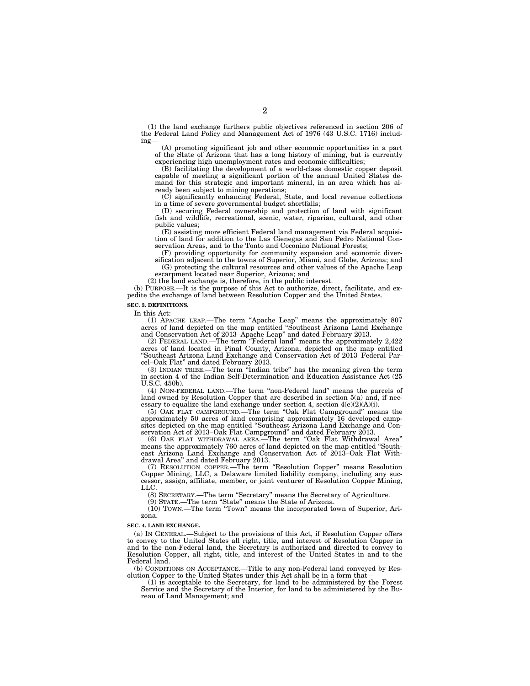(1) the land exchange furthers public objectives referenced in section 206 of the Federal Land Policy and Management Act of 1976 (43 U.S.C. 1716) including—

(A) promoting significant job and other economic opportunities in a part of the State of Arizona that has a long history of mining, but is currently experiencing high unemployment rates and economic difficulties;

(B) facilitating the development of a world-class domestic copper deposit capable of meeting a significant portion of the annual United States demand for this strategic and important mineral, in an area which has already been subject to mining operations;

(C) significantly enhancing Federal, State, and local revenue collections in a time of severe governmental budget shortfalls;

(D) securing Federal ownership and protection of land with significant fish and wildlife, recreational, scenic, water, riparian, cultural, and other public values;

(E) assisting more efficient Federal land management via Federal acquisition of land for addition to the Las Cienegas and San Pedro National Conservation Areas, and to the Tonto and Coconino National Forests;

(F) providing opportunity for community expansion and economic diversification adjacent to the towns of Superior, Miami, and Globe, Arizona; and (G) protecting the cultural resources and other values of the Apache Leap escarpment located near Superior, Arizona; and

(2) the land exchange is, therefore, in the public interest.

(b) PURPOSE.—It is the purpose of this Act to authorize, direct, facilitate, and expedite the exchange of land between Resolution Copper and the United States.

#### **SEC. 3. DEFINITIONS.**

In this Act:

(1) APACHE LEAP.—The term ''Apache Leap'' means the approximately 807 acres of land depicted on the map entitled ''Southeast Arizona Land Exchange and Conservation Act of 2013–Apache Leap'' and dated February 2013.

(2) FEDERAL LAND.—The term ''Federal land'' means the approximately 2,422 acres of land located in Pinal County, Arizona, depicted on the map entitled ''Southeast Arizona Land Exchange and Conservation Act of 2013–Federal Parcel–Oak Flat'' and dated February 2013.

(3) INDIAN TRIBE.—The term ''Indian tribe'' has the meaning given the term in section 4 of the Indian Self-Determination and Education Assistance Act (25 U.S.C. 450b).

(4) NON-FEDERAL LAND.—The term ''non-Federal land'' means the parcels of land owned by Resolution Copper that are described in section 5(a) and, if necessary to equalize the land exchange under section 4, section  $4(e)(2)(A)(i)$ .

(5) OAK FLAT CAMPGROUND.—The term ''Oak Flat Campground'' means the approximately 50 acres of land comprising approximately 16 developed campsites depicted on the map entitled ''Southeast Arizona Land Exchange and Conservation Act of 2013–Oak Flat Campground'' and dated February 2013.

(6) OAK FLAT WITHDRAWAL AREA.—The term ''Oak Flat Withdrawal Area'' means the approximately 760 acres of land depicted on the map entitled ''Southeast Arizona Land Exchange and Conservation Act of 2013–Oak Flat Withdrawal Area'' and dated February 2013.

(7) RESOLUTION COPPER.—The term ''Resolution Copper'' means Resolution Copper Mining, LLC, a Delaware limited liability company, including any successor, assign, affiliate, member, or joint venturer of Resolution Copper Mining, LLC.

(8) SECRETARY.—The term ''Secretary'' means the Secretary of Agriculture.

(9) STATE.—The term ''State'' means the State of Arizona.

(10) TOWN.—The term ''Town'' means the incorporated town of Superior, Arizona.

#### **SEC. 4. LAND EXCHANGE.**

(a) IN GENERAL.—Subject to the provisions of this Act, if Resolution Copper offers to convey to the United States all right, title, and interest of Resolution Copper in and to the non-Federal land, the Secretary is authorized and directed to convey to Resolution Copper, all right, title, and interest of the United States in and to the Federal land.

(b) CONDITIONS ON ACCEPTANCE.—Title to any non-Federal land conveyed by Resolution Copper to the United States under this Act shall be in a form that—

(1) is acceptable to the Secretary, for land to be administered by the Forest Service and the Secretary of the Interior, for land to be administered by the Bureau of Land Management; and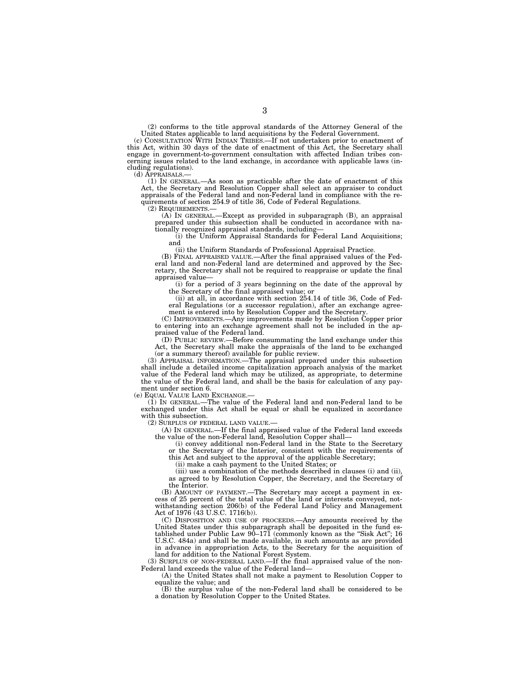(2) conforms to the title approval standards of the Attorney General of the United States applicable to land acquisitions by the Federal Government. (c) CONSULTATION WITH INDIAN TRIBES.—If not undertaken prior to enactment of

this Act, within 30 days of the date of enactment of this Act, the Secretary shall engage in government-to-government consultation with affected Indian tribes con-cerning issues related to the land exchange, in accordance with applicable laws (including regulations).<br>(d) APPRAISALS.—

(1) IN GENERAL.—As soon as practicable after the date of enactment of this Act, the Secretary and Resolution Copper shall select an appraiser to conduct appraisals of the Federal land and non-Federal land in compliance with the requirements of section 254.9 of title 36, Code of Federal Regulations.

(2) REQUIREMENTS.— (A) IN GENERAL.—Except as provided in subparagraph (B), an appraisal prepared under this subsection shall be conducted in accordance with na-

tionally recognized appraisal standards, including— (i) the Uniform Appraisal Standards for Federal Land Acquisitions; and

(ii) the Uniform Standards of Professional Appraisal Practice.

(B) FINAL APPRAISED VALUE.—After the final appraised values of the Fed-eral land and non-Federal land are determined and approved by the Secretary, the Secretary shall not be required to reappraise or update the final appraised value—

(i) for a period of 3 years beginning on the date of the approval by the Secretary of the final appraised value; or

(ii) at all, in accordance with section 254.14 of title 36, Code of Federal Regulations (or a successor regulation), after an exchange agreement is entered into by Resolution Copper and the Secretary.

(C) IMPROVEMENTS.—Any improvements made by Resolution Copper prior to entering into an exchange agreement shall not be included in the appraised value of the Federal land.

(D) PUBLIC REVIEW.—Before consummating the land exchange under this Act, the Secretary shall make the appraisals of the land to be exchanged (or a summary thereof) available for public review.

(3) APPRAISAL INFORMATION.—The appraisal prepared under this subsection shall include a detailed income capitalization approach analysis of the market value of the Federal land which may be utilized, as appropriate, to determine the value of the Federal land, and shall be the basis for calculation of any payment under section 6.

(e) EQUAL VALUE LAND EXCHANGE.—

(1) IN GENERAL.—The value of the Federal land and non-Federal land to be exchanged under this Act shall be equal or shall be equalized in accordance with this subsection.

(2) SURPLUS OF FEDERAL LAND VALUE.—

(A) IN GENERAL.—If the final appraised value of the Federal land exceeds the value of the non-Federal land, Resolution Copper shall—

(i) convey additional non-Federal land in the State to the Secretary or the Secretary of the Interior, consistent with the requirements of this Act and subject to the approval of the applicable Secretary;

(ii) make a cash payment to the United States; or

(iii) use a combination of the methods described in clauses (i) and (ii), as agreed to by Resolution Copper, the Secretary, and the Secretary of the Interior.

(B) AMOUNT OF PAYMENT.—The Secretary may accept a payment in excess of 25 percent of the total value of the land or interests conveyed, notwithstanding section 206(b) of the Federal Land Policy and Management Act of 1976 (43 U.S.C. 1716(b)).

(C) DISPOSITION AND USE OF PROCEEDS.—Any amounts received by the United States under this subparagraph shall be deposited in the fund established under Public Law 90–171 (commonly known as the "Sisk Act"; 16 U.S.C. 484a) and shall be made available, in such amounts as are provided in advance in appropriation Acts, to the Secretary for the acquisition of land for addition to the National Forest System.

(3) SURPLUS OF NON-FEDERAL LAND.—If the final appraised value of the non-Federal land exceeds the value of the Federal land—

(A) the United States shall not make a payment to Resolution Copper to equalize the value; and

(B) the surplus value of the non-Federal land shall be considered to be a donation by Resolution Copper to the United States.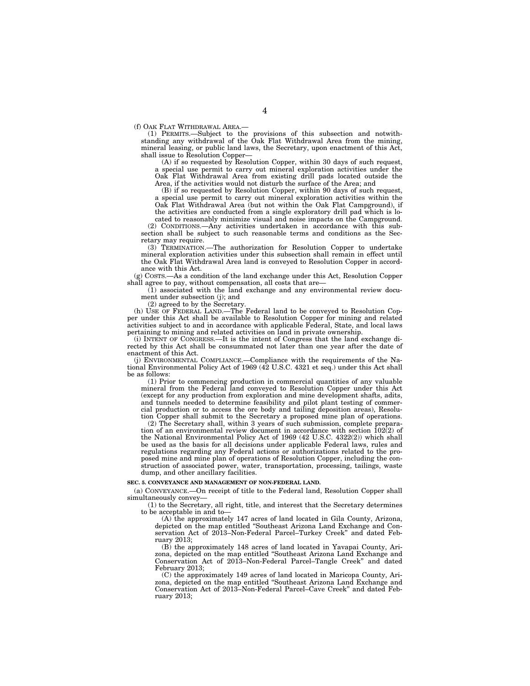(f) OAK FLAT WITHDRAWAL AREA.—

(1) PERMITS.—Subject to the provisions of this subsection and notwithstanding any withdrawal of the Oak Flat Withdrawal Area from the mining, mineral leasing, or public land laws, the Secretary, upon enactment of this Act, shall issue to Resolution Copper—

 $(A)$  if so requested by Resolution Copper, within 30 days of such request, a special use permit to carry out mineral exploration activities under the Oak Flat Withdrawal Area from existing drill pads located outside the Area, if the activities would not disturb the surface of the Area; and

(B) if so requested by Resolution Copper, within 90 days of such request, a special use permit to carry out mineral exploration activities within the Oak Flat Withdrawal Area (but not within the Oak Flat Campground), if the activities are conducted from a single exploratory drill pad which is located to reasonably minimize visual and noise impacts on the Campground.

(2) CONDITIONS.—Any activities undertaken in accordance with this subsection shall be subject to such reasonable terms and conditions as the Secretary may require.

(3) TERMINATION.—The authorization for Resolution Copper to undertake mineral exploration activities under this subsection shall remain in effect until the Oak Flat Withdrawal Area land is conveyed to Resolution Copper in accordance with this Act.

(g) COSTS.—As a condition of the land exchange under this Act, Resolution Copper shall agree to pay, without compensation, all costs that are-

(1) associated with the land exchange and any environmental review document under subsection (j); and

(2) agreed to by the Secretary.

(h) USE OF FEDERAL LAND.—The Federal land to be conveyed to Resolution Copper under this Act shall be available to Resolution Copper for mining and related activities subject to and in accordance with applicable Federal, State, and local laws pertaining to mining and related activities on land in private ownership.

(i) INTENT OF CONGRESS.—It is the intent of Congress that the land exchange directed by this Act shall be consummated not later than one year after the date of enactment of this Act.

(j) ENVIRONMENTAL COMPLIANCE.—Compliance with the requirements of the National Environmental Policy Act of 1969 (42 U.S.C. 4321 et seq.) under this Act shall be as follows:

(1) Prior to commencing production in commercial quantities of any valuable mineral from the Federal land conveyed to Resolution Copper under this Act (except for any production from exploration and mine development shafts, adits, and tunnels needed to determine feasibility and pilot plant testing of commercial production or to access the ore body and tailing deposition areas), Resolution Copper shall submit to the Secretary a proposed mine plan of operations.

(2) The Secretary shall, within 3 years of such submission, complete preparation of an environmental review document in accordance with section 102(2) of the National Environmental Policy Act of 1969 (42 U.S.C. 4322(2)) which shall be used as the basis for all decisions under applicable Federal laws, rules and regulations regarding any Federal actions or authorizations related to the proposed mine and mine plan of operations of Resolution Copper, including the construction of associated power, water, transportation, processing, tailings, waste dump, and other ancillary facilities.

#### **SEC. 5. CONVEYANCE AND MANAGEMENT OF NON-FEDERAL LAND.**

(a) CONVEYANCE.—On receipt of title to the Federal land, Resolution Copper shall simultaneously convey—

(1) to the Secretary, all right, title, and interest that the Secretary determines to be acceptable in and to—

(A) the approximately 147 acres of land located in Gila County, Arizona, depicted on the map entitled ''Southeast Arizona Land Exchange and Conservation Act of 2013–Non-Federal Parcel–Turkey Creek'' and dated February 2013;

(B) the approximately 148 acres of land located in Yavapai County, Arizona, depicted on the map entitled ''Southeast Arizona Land Exchange and Conservation Act of 2013–Non-Federal Parcel–Tangle Creek'' and dated February 2013;

(C) the approximately 149 acres of land located in Maricopa County, Arizona, depicted on the map entitled ''Southeast Arizona Land Exchange and Conservation Act of 2013–Non-Federal Parcel–Cave Creek'' and dated February 2013;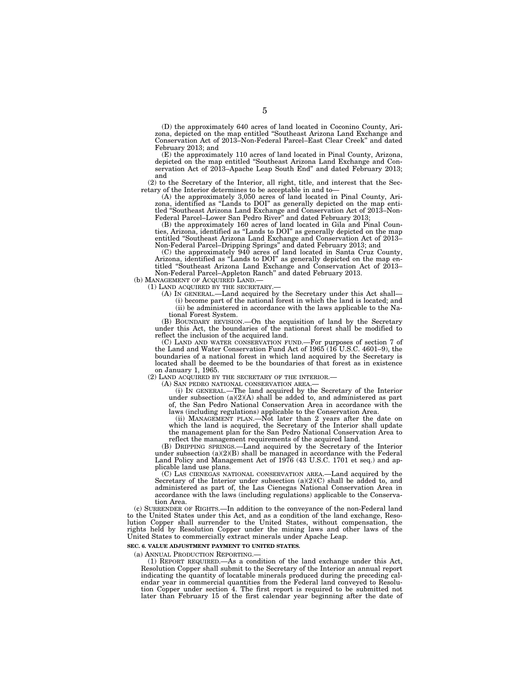(D) the approximately 640 acres of land located in Coconino County, Arizona, depicted on the map entitled ''Southeast Arizona Land Exchange and Conservation Act of 2013–Non-Federal Parcel–East Clear Creek'' and dated February 2013; and

(E) the approximately 110 acres of land located in Pinal County, Arizona, depicted on the map entitled ''Southeast Arizona Land Exchange and Conservation Act of 2013–Apache Leap South End'' and dated February 2013; and

(2) to the Secretary of the Interior, all right, title, and interest that the Secretary of the Interior determines to be acceptable in and to—

(A) the approximately 3,050 acres of land located in Pinal County, Arizona, identified as ''Lands to DOI'' as generally depicted on the map entitled ''Southeast Arizona Land Exchange and Conservation Act of 2013–Non-Federal Parcel–Lower San Pedro River'' and dated February 2013;

(B) the approximately 160 acres of land located in Gila and Pinal Counties, Arizona, identified as ''Lands to DOI'' as generally depicted on the map entitled ''Southeast Arizona Land Exchange and Conservation Act of 2013– Non-Federal Parcel–Dripping Springs'' and dated February 2013; and

(C) the approximately 940 acres of land located in Santa Cruz County, Arizona, identified as ''Lands to DOI'' as generally depicted on the map entitled ''Southeast Arizona Land Exchange and Conservation Act of 2013– Non-Federal Parcel–Appleton Ranch'' and dated February 2013.

(b) MANAGEMENT OF ACQUIRED LAND.

(1) LAND ACQUIRED BY THE SECRETARY.—

(A) IN GENERAL.—Land acquired by the Secretary under this Act shall—

(i) become part of the national forest in which the land is located; and (ii) be administered in accordance with the laws applicable to the National Forest System.

(B) BOUNDARY REVISION.—On the acquisition of land by the Secretary under this Act, the boundaries of the national forest shall be modified to reflect the inclusion of the acquired land.

(C) LAND AND WATER CONSERVATION FUND.—For purposes of section 7 of the Land and Water Conservation Fund Act of 1965 (16 U.S.C. 4601–9), the boundaries of a national forest in which land acquired by the Secretary is located shall be deemed to be the boundaries of that forest as in existence on January 1, 1965.

(2) LAND ACQUIRED BY THE SECRETARY OF THE INTERIOR.—

(A) SAN PEDRO NATIONAL CONSERVATION AREA.—

(i) IN GENERAL.—The land acquired by the Secretary of the Interior under subsection  $(a)(2)(A)$  shall be added to, and administered as part of, the San Pedro National Conservation Area in accordance with the laws (including regulations) applicable to the Conservation Area.

(ii) MANAGEMENT PLAN.—Not later than 2 years after the date on which the land is acquired, the Secretary of the Interior shall update the management plan for the San Pedro National Conservation Area to reflect the management requirements of the acquired land.

(B) DRIPPING SPRINGS.—Land acquired by the Secretary of the Interior under subsection  $(a)(2)(B)$  shall be managed in accordance with the Federal Land Policy and Management Act of 1976 (43 U.S.C. 1701 et seq.) and applicable land use plans.

(C) LAS CIENEGAS NATIONAL CONSERVATION AREA.—Land acquired by the Secretary of the Interior under subsection (a)(2)(C) shall be added to, and administered as part of, the Las Cienegas National Conservation Area in accordance with the laws (including regulations) applicable to the Conservation Area.

(c) SURRENDER OF RIGHTS.—In addition to the conveyance of the non-Federal land to the United States under this Act, and as a condition of the land exchange, Resolution Copper shall surrender to the United States, without compensation, the rights held by Resolution Copper under the mining laws and other laws of the United States to commercially extract minerals under Apache Leap.

#### **SEC. 6. VALUE ADJUSTMENT PAYMENT TO UNITED STATES.**

(a) ANNUAL PRODUCTION REPORTING.—

(1) REPORT REQUIRED.—As a condition of the land exchange under this Act, Resolution Copper shall submit to the Secretary of the Interior an annual report indicating the quantity of locatable minerals produced during the preceding calendar year in commercial quantities from the Federal land conveyed to Resolution Copper under section 4. The first report is required to be submitted not later than February 15 of the first calendar year beginning after the date of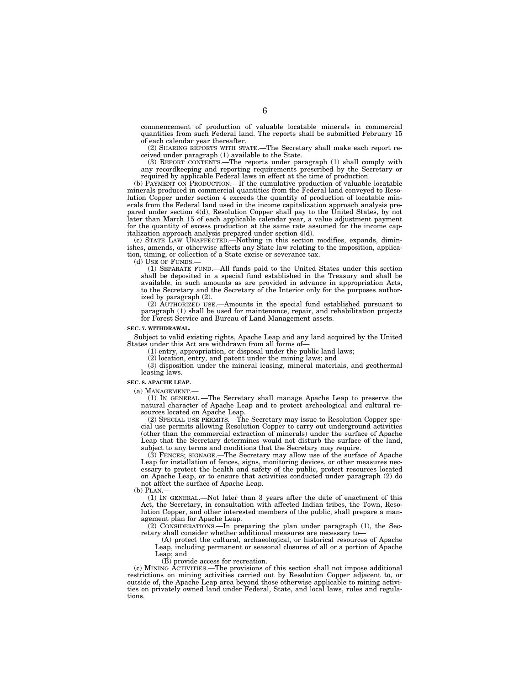commencement of production of valuable locatable minerals in commercial quantities from such Federal land. The reports shall be submitted February 15 of each calendar year thereafter.

(2) SHARING REPORTS WITH STATE.—The Secretary shall make each report received under paragraph (1) available to the State.

(3) REPORT CONTENTS.—The reports under paragraph (1) shall comply with any recordkeeping and reporting requirements prescribed by the Secretary or required by applicable Federal laws in effect at the time of production.

(b) PAYMENT ON PRODUCTION.—If the cumulative production of valuable locatable minerals produced in commercial quantities from the Federal land conveyed to Resolution Copper under section 4 exceeds the quantity of production of locatable minerals from the Federal land used in the income capitalization approach analysis prepared under section 4(d), Resolution Copper shall pay to the United States, by not later than March 15 of each applicable calendar year, a value adjustment payment for the quantity of excess production at the same rate assumed for the income capitalization approach analysis prepared under section 4(d).

(c) STATE LAW UNAFFECTED.—Nothing in this section modifies, expands, diminishes, amends, or otherwise affects any State law relating to the imposition, application, timing, or collection of a State excise or severance tax.

(d) USE OF FUNDS.—

(1) SEPARATE FUND.—All funds paid to the United States under this section shall be deposited in a special fund established in the Treasury and shall be available, in such amounts as are provided in advance in appropriation Acts, to the Secretary and the Secretary of the Interior only for the purposes authorized by paragraph (2).

(2) AUTHORIZED USE.—Amounts in the special fund established pursuant to paragraph (1) shall be used for maintenance, repair, and rehabilitation projects for Forest Service and Bureau of Land Management assets.

#### **SEC. 7. WITHDRAWAL.**

Subject to valid existing rights, Apache Leap and any land acquired by the United States under this Act are withdrawn from all forms of—

(1) entry, appropriation, or disposal under the public land laws;

(2) location, entry, and patent under the mining laws; and

(3) disposition under the mineral leasing, mineral materials, and geothermal leasing laws.

#### **SEC. 8. APACHE LEAP.**

(a) MANAGEMENT.—

(1) IN GENERAL.—The Secretary shall manage Apache Leap to preserve the natural character of Apache Leap and to protect archeological and cultural resources located on Apache Leap.

(2) SPECIAL USE PERMITS.—The Secretary may issue to Resolution Copper special use permits allowing Resolution Copper to carry out underground activities (other than the commercial extraction of minerals) under the surface of Apache Leap that the Secretary determines would not disturb the surface of the land, subject to any terms and conditions that the Secretary may require.

(3) FENCES; SIGNAGE.—The Secretary may allow use of the surface of Apache Leap for installation of fences, signs, monitoring devices, or other measures necessary to protect the health and safety of the public, protect resources located on Apache Leap, or to ensure that activities conducted under paragraph (2) do not affect the surface of Apache Leap.

(b) PLAN.

(1) IN GENERAL.—Not later than 3 years after the date of enactment of this Act, the Secretary, in consultation with affected Indian tribes, the Town, Resolution Copper, and other interested members of the public, shall prepare a management plan for Apache Leap.

 $(2)$  CONSIDERATIONS.—In preparing the plan under paragraph (1), the Secretary shall consider whether additional measures are necessary to—

(A) protect the cultural, archaeological, or historical resources of Apache Leap, including permanent or seasonal closures of all or a portion of Apache Leap; and

(B) provide access for recreation.

(c) MINING ACTIVITIES.—The provisions of this section shall not impose additional restrictions on mining activities carried out by Resolution Copper adjacent to, or outside of, the Apache Leap area beyond those otherwise applicable to mining activities on privately owned land under Federal, State, and local laws, rules and regulations.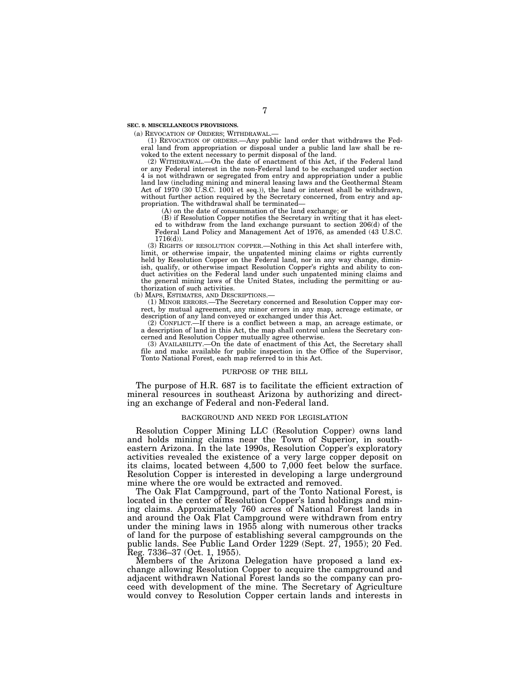**SEC. 9. MISCELLANEOUS PROVISIONS.** 

(a) REVOCATION OF ORDERS; WITHDRAWAL.—

(1) REVOCATION OF ORDERS.—Any public land order that withdraws the Federal land from appropriation or disposal under a public land law shall be revoked to the extent necessary to permit disposal of the land.

(2) WITHDRAWAL.—On the date of enactment of this Act, if the Federal land or any Federal interest in the non-Federal land to be exchanged under section 4 is not withdrawn or segregated from entry and appropriation under a public land law (including mining and mineral leasing laws and the Geothermal Steam Act of 1970 (30 U.S.C. 1001 et seq.)), the land or interest shall be withdrawn, without further action required by the Secretary concerned, from entry and appropriation. The withdrawal shall be terminated—

(A) on the date of consummation of the land exchange; or

(B) if Resolution Copper notifies the Secretary in writing that it has elected to withdraw from the land exchange pursuant to section 206(d) of the Federal Land Policy and Management Act of 1976, as amended (43 U.S.C. 1716(d)).

(3) RIGHTS OF RESOLUTION COPPER.—Nothing in this Act shall interfere with, limit, or otherwise impair, the unpatented mining claims or rights currently held by Resolution Copper on the Federal land, nor in any way change, diminish, qualify, or otherwise impact Resolution Copper's rights and ability to conduct activities on the Federal land under such unpatented mining claims and the general mining laws of the United States, including the permitting or authorization of such activities.

(b) MAPS, ESTIMATES, AND DESCRIPTIONS.—

(1) MINOR ERRORS.—The Secretary concerned and Resolution Copper may correct, by mutual agreement, any minor errors in any map, acreage estimate, or description of any land conveyed or exchanged under this Act.

(2) CONFLICT.—If there is a conflict between a map, an acreage estimate, or a description of land in this Act, the map shall control unless the Secretary concerned and Resolution Copper mutually agree otherwise.

(3) AVAILABILITY.—On the date of enactment of this Act, the Secretary shall file and make available for public inspection in the Office of the Supervisor, Tonto National Forest, each map referred to in this Act.

#### PURPOSE OF THE BILL

The purpose of H.R. 687 is to facilitate the efficient extraction of mineral resources in southeast Arizona by authorizing and directing an exchange of Federal and non-Federal land.

#### BACKGROUND AND NEED FOR LEGISLATION

Resolution Copper Mining LLC (Resolution Copper) owns land and holds mining claims near the Town of Superior, in southeastern Arizona. In the late 1990s, Resolution Copper's exploratory activities revealed the existence of a very large copper deposit on its claims, located between 4,500 to 7,000 feet below the surface. Resolution Copper is interested in developing a large underground mine where the ore would be extracted and removed.

The Oak Flat Campground, part of the Tonto National Forest, is located in the center of Resolution Copper's land holdings and mining claims. Approximately 760 acres of National Forest lands in and around the Oak Flat Campground were withdrawn from entry under the mining laws in 1955 along with numerous other tracks of land for the purpose of establishing several campgrounds on the public lands. See Public Land Order 1229 (Sept. 27, 1955); 20 Fed. Reg. 7336–37 (Oct. 1, 1955).

Members of the Arizona Delegation have proposed a land exchange allowing Resolution Copper to acquire the campground and adjacent withdrawn National Forest lands so the company can proceed with development of the mine. The Secretary of Agriculture would convey to Resolution Copper certain lands and interests in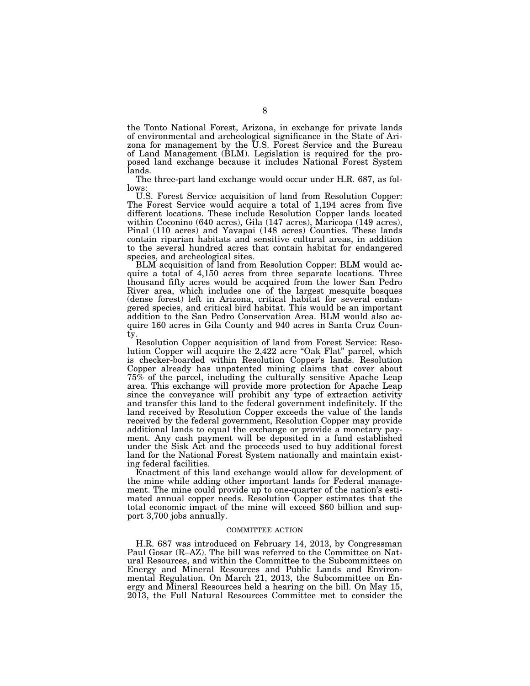the Tonto National Forest, Arizona, in exchange for private lands of environmental and archeological significance in the State of Arizona for management by the U.S. Forest Service and the Bureau of Land Management (BLM). Legislation is required for the proposed land exchange because it includes National Forest System lands.

The three-part land exchange would occur under H.R. 687, as follows:

U.S. Forest Service acquisition of land from Resolution Copper: The Forest Service would acquire a total of 1,194 acres from five different locations. These include Resolution Copper lands located within Coconino (640 acres), Gila (147 acres), Maricopa (149 acres), Pinal (110 acres) and Yavapai (148 acres) Counties. These lands contain riparian habitats and sensitive cultural areas, in addition to the several hundred acres that contain habitat for endangered species, and archeological sites.

BLM acquisition of land from Resolution Copper: BLM would acquire a total of 4,150 acres from three separate locations. Three thousand fifty acres would be acquired from the lower San Pedro River area, which includes one of the largest mesquite bosques (dense forest) left in Arizona, critical habitat for several endangered species, and critical bird habitat. This would be an important addition to the San Pedro Conservation Area. BLM would also acquire 160 acres in Gila County and 940 acres in Santa Cruz County.

Resolution Copper acquisition of land from Forest Service: Resolution Copper will acquire the 2,422 acre "Oak Flat" parcel, which is checker-boarded within Resolution Copper's lands. Resolution Copper already has unpatented mining claims that cover about 75% of the parcel, including the culturally sensitive Apache Leap area. This exchange will provide more protection for Apache Leap since the conveyance will prohibit any type of extraction activity and transfer this land to the federal government indefinitely. If the land received by Resolution Copper exceeds the value of the lands received by the federal government, Resolution Copper may provide additional lands to equal the exchange or provide a monetary payment. Any cash payment will be deposited in a fund established under the Sisk Act and the proceeds used to buy additional forest land for the National Forest System nationally and maintain existing federal facilities.

Enactment of this land exchange would allow for development of the mine while adding other important lands for Federal management. The mine could provide up to one-quarter of the nation's estimated annual copper needs. Resolution Copper estimates that the total economic impact of the mine will exceed \$60 billion and support 3,700 jobs annually.

#### COMMITTEE ACTION

H.R. 687 was introduced on February 14, 2013, by Congressman Paul Gosar (R–AZ). The bill was referred to the Committee on Natural Resources, and within the Committee to the Subcommittees on Energy and Mineral Resources and Public Lands and Environmental Regulation. On March 21, 2013, the Subcommittee on Energy and Mineral Resources held a hearing on the bill. On May 15, 2013, the Full Natural Resources Committee met to consider the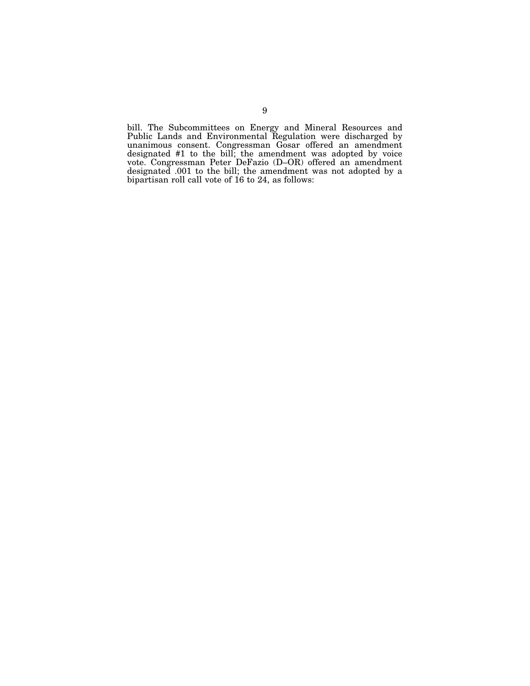bill. The Subcommittees on Energy and Mineral Resources and Public Lands and Environmental Regulation were discharged by unanimous consent. Congressman Gosar offered an amendment designated #1 to the bill; the amendment was adopted by voice vote. Congressman Peter DeFazio (D–OR) offered an amendment designated .001 to the bill; the amendment was not adopted by a bipartisan roll call vote of 16 to 24, as follows: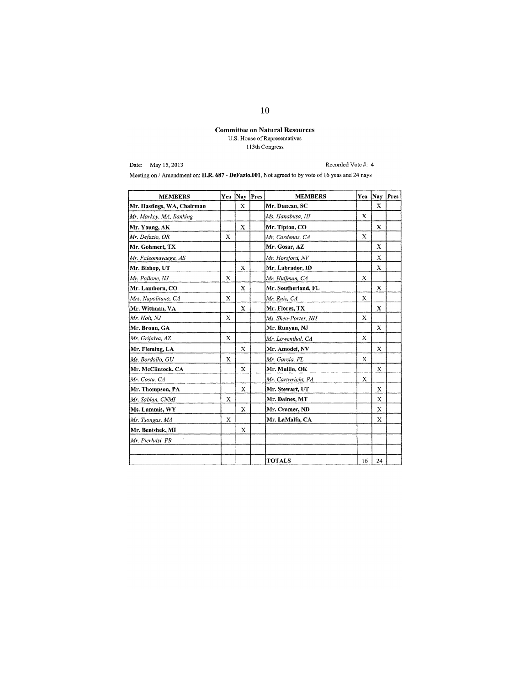### Committee on Natural Resources U.S. House of Representatives I 13th Congress

Date: May 15,2013

Recorded Vote #: 4

Meeting on / Amendment on: H.R. 687 - DeFazio.001, Not agreed to by vote of 16 yeas and 24 nays

| <b>MEMBERS</b>             | Yea         | Nav         | Pres | <b>MEMBERS</b>      | Yea         | Nay | Pres |
|----------------------------|-------------|-------------|------|---------------------|-------------|-----|------|
| Mr. Hastings, WA, Chairman |             | $\mathbf x$ |      | Mr. Duncan, SC      |             | X   |      |
| Mr. Markey, MA, Ranking    |             |             |      | Ms. Hanabusa, HI    | X           |     |      |
| Mr. Young, AK              |             | X           |      | Mr. Tipton, CO      |             | X   |      |
| Mr. Defazio, OR            | $\mathbf x$ |             |      | Mr. Cardenas, CA    | X           |     |      |
| Mr. Gohmert, TX            |             |             |      | Mr. Gosar, AZ       |             | X   |      |
| Mr. Faleomavaega, AS       |             |             |      | Mr. Horsford, NV    |             | X   |      |
| Mr. Bishop, UT             |             | X           |      | Mr. Labrador, ID    |             | X   |      |
| Mr. Pallone, NJ            | X           |             |      | Mr. Huffman, CA     | X           |     |      |
| Mr. Lamborn, CO            |             | X           |      | Mr. Southerland, FL |             | X   |      |
| Mrs. Napolitano, CA        | X           |             |      | Mr. Ruiz, CA        | X           |     |      |
| Mr. Wittman, VA            |             | X           |      | Mr. Flores, TX      |             | X   |      |
| Mr. Holt, NJ               | $\bf{x}$    |             |      | Ms. Shea-Porter, NH | $\mathbf x$ |     |      |
| Mr. Broun, GA              |             |             |      | Mr. Runyan, NJ      |             | X   |      |
| Mr. Grijalva, AZ           | X           |             |      | Mr. Lowenthal, CA   | X           |     |      |
| Mr. Fleming, LA            |             | $\mathbf x$ |      | Mr. Amodei, NV      |             | X   |      |
| Ms. Bordallo, GU           | X           |             |      | Mr. Garcia, FL      | X           |     |      |
| Mr. McClintock, CA         |             | $\mathbf x$ |      | Mr. Mullin, OK      |             | X   |      |
| Mr. Costa, CA              |             |             |      | Mr. Cartwright, PA  | X           |     |      |
| Mr. Thompson, PA           |             | X           |      | Mr. Stewart, UT     |             | X   |      |
| Mr. Sablan, CNMI           | X           |             |      | Mr. Daines, MT      |             | X   |      |
| Ms. Lummis, WY             |             | $\mathbf x$ |      | Mr. Cramer, ND      |             | X   |      |
| Ms. Tsongas, MA            | X           |             |      | Mr. LaMalfa, CA     |             | X   |      |
| Mr. Benishek, MI           |             | X           |      |                     |             |     |      |
| Mr. Pierluisi, PR          |             |             |      |                     |             |     |      |
|                            |             |             |      |                     |             |     |      |
|                            |             |             |      | <b>TOTALS</b>       | 16          | 24  |      |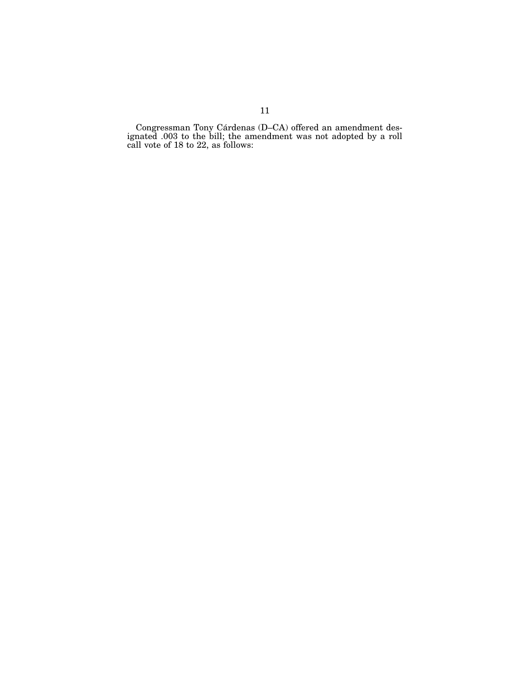Congressman Tony Cárdenas (D–CA) offered an amendment designated .003 to the bill; the amendment was not adopted by a roll call vote of 18 to 22, as follows: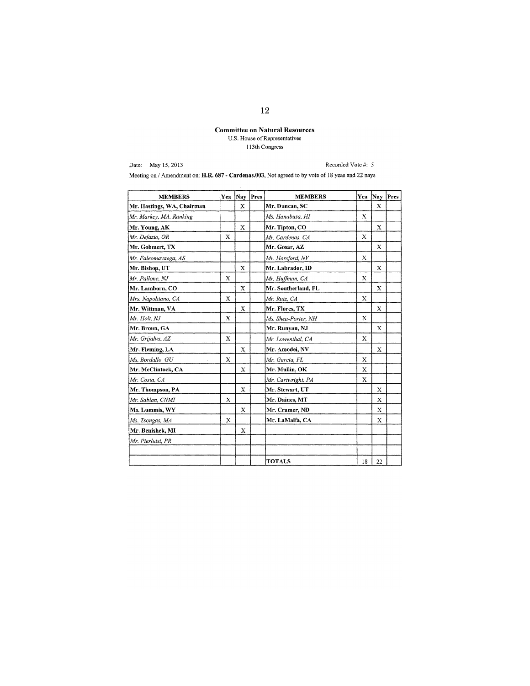### **Committee on Natural Resources**  U.S. House of Representatives I 13th Congress

Date: May IS, 2013

Recorded Vote #: 5

Meeting on / Amendment on: **H.R. 687 - Cardenas.003,** Not agreed to by vote of 18 yeas and 22 nays

| <b>MEMBERS</b>             | Yea         | <b>Nay</b>  | Pres | <b>MEMBERS</b>      | Yea         |             | Nay  Pres |
|----------------------------|-------------|-------------|------|---------------------|-------------|-------------|-----------|
| Mr. Hastings, WA, Chairman |             | X           |      | Mr. Duncan, SC      |             | X           |           |
| Mr. Markey, MA, Ranking    |             |             |      | Ms. Hanabusa, HI    | X           |             |           |
| Mr. Young, AK              |             | X           |      | Mr. Tipton, CO      |             | X           |           |
| Mr. Defazio, OR            | X           |             |      | Mr. Cardenas, CA    | $\mathbf x$ |             |           |
| Mr. Gohmert, TX            |             |             |      | Mr. Gosar, AZ       |             | X           |           |
| Mr. Faleomavaega, AS       |             |             |      | Mr. Horsford, NV    | X           |             |           |
| Mr. Bishop, UT             |             | X           |      | Mr. Labrador, ID    |             | X           |           |
| Mr. Pallone. NJ            | X           |             |      | Mr. Huffman, CA     | $\mathbf x$ |             |           |
| Mr. Lamborn, CO            |             | X           |      | Mr. Southerland, FL |             | X           |           |
| Mrs. Napolitano, CA        | $\mathbf x$ |             |      | Mr. Ruiz, CA        | X           |             |           |
| Mr. Wittman, VA            |             | X           |      | Mr. Flores, TX      |             | X           |           |
| Mr. Holt, NJ               | $\mathbf x$ |             |      | Ms. Shea-Porter, NH | X           |             |           |
| Mr. Broun, GA              |             |             |      | Mr. Runyan, NJ      |             | X           |           |
| Mr. Grijalva, AZ           | X           |             |      | Mr. Lowenthal, CA   | X           |             |           |
| Mr. Fleming, LA            |             | $\mathbf x$ |      | Mr. Amodei, NV      |             | $\bf{X}$    |           |
| Ms. Bordallo, GU           | X           |             |      | Mr. Garcia, FL      | X           |             |           |
| Mr. McClintock, CA         |             | X           |      | Mr. Mullin, OK      | X           |             |           |
| Mr. Costa, CA              |             |             |      | Mr. Cartwright, PA  | X           |             |           |
| Mr. Thompson, PA           |             | X           |      | Mr. Stewart, UT     |             | X           |           |
| Mr. Sablan, CNMI           | X           |             |      | Mr. Daines, MT      |             | X           |           |
| Ms. Lummis, WY             |             | X           |      | Mr. Cramer, ND      |             | $\mathbf x$ |           |
| Ms. Tsongas, MA            | х           |             |      | Mr. LaMalfa, CA     |             | X           |           |
| Mr. Benishek, MI           |             | X           |      |                     |             |             |           |
| Mr. Pierluisi, PR          |             |             |      |                     |             |             |           |
|                            |             |             |      |                     |             |             |           |
|                            |             |             |      | <b>TOTALS</b>       | 18          | 22          |           |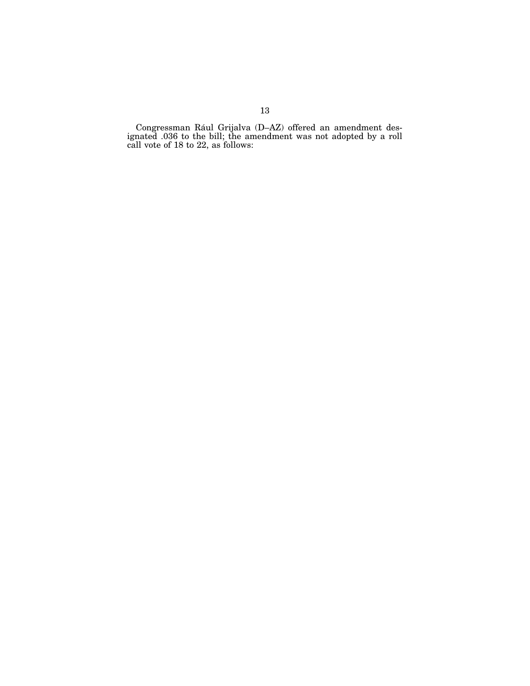Congressman Rául Grijalva (D-AZ) offered an amendment designated .036 to the bill; the amendment was not adopted by a roll call vote of 18 to 22, as follows: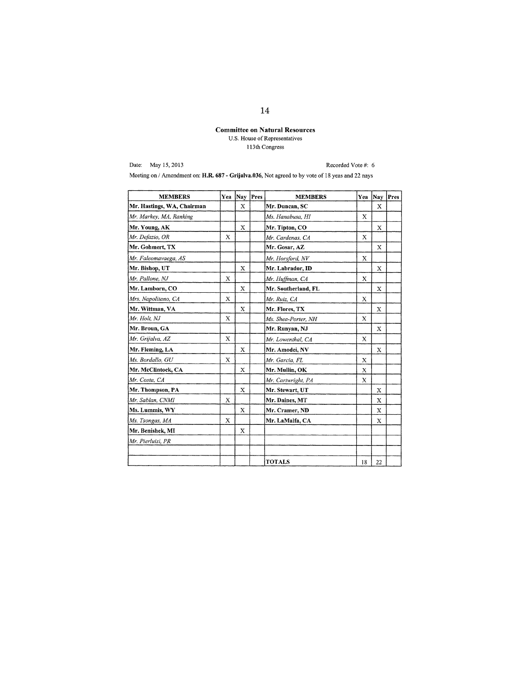# Committee on **Natural** Resources U.S. House of Representatives I 13th Congress

Date: May 15,2013

Recorded Vote #: 6

Meeting on / Amendment on: H.R. 687 - Grijalva.036, Not agreed to by vote of 18 yeas and 22 nays

| <b>MEMBERS</b>             |   | Yea Nay Pres | <b>MEMBERS</b>      | Yea         | Nay         | Pres |
|----------------------------|---|--------------|---------------------|-------------|-------------|------|
| Mr. Hastings, WA, Chairman |   | X            | Mr. Duncan, SC      |             | X           |      |
| Mr. Markey, MA, Ranking    |   |              | Ms. Hanabusa, HI    | X           |             |      |
| Mr. Young, AK              |   | X            | Mr. Tipton, CO      |             | X           |      |
| Mr. Defazio, OR            | X |              | Mr. Cardenas, CA    | X           |             |      |
| Mr. Gohmert, TX            |   |              | Mr. Gosar, AZ       |             | X           |      |
| Mr. Faleomavaega, AS       |   |              | Mr. Horsford, NV    | X           |             |      |
| Mr. Bishop, UT             |   | $\mathbf x$  | Mr. Labrador, ID    |             | X           |      |
| Mr. Pallone, NJ            | X |              | Mr. Huffman, CA     | X           |             |      |
| Mr. Lamborn, CO            |   | X            | Mr. Southerland, FL |             | X           |      |
| Mrs. Napolitano, CA        | X |              | Mr. Ruiz, CA        | X           |             |      |
| Mr. Wittman, VA            |   | X            | Mr. Flores, TX      |             | X           |      |
| Mr. Holt, NJ               | X |              | Ms. Shea-Porter, NH | X           |             |      |
| Mr. Broun, GA              |   |              | Mr. Runyan, NJ      |             | $\mathbf x$ |      |
| Mr. Grijalva, AZ           | X |              | Mr. Lowenthal, CA   | X           |             |      |
| Mr. Fleming, LA            |   | $\mathbf x$  | Mr. Amodei, NV      |             | X           |      |
| Ms. Bordallo, GU           | X |              | Mr. Garcia, FL      | X           |             |      |
| Mr. McClintock, CA         |   | X            | Mr. Mullin, OK      | $\mathbf x$ |             |      |
| Mr. Costa, CA              |   |              | Mr. Cartwright, PA  | X           |             |      |
| Mr. Thompson, PA           |   | X            | Mr. Stewart, UT     |             | X           |      |
| Mr. Sablan, CNMI           | X |              | Mr. Daines, MT      |             | X           |      |
| Ms. Lummis, WY             |   | X            | Mr. Cramer, ND      |             | X           |      |
| Ms. Tsongas, MA            | X |              | Mr. LaMalfa, CA     |             | X           |      |
| Mr. Benishek, MI           |   | $\mathbf{X}$ |                     |             |             |      |
| Mr. Pierluisi, PR          |   |              |                     |             |             |      |
|                            |   |              |                     |             |             |      |
|                            |   |              | <b>TOTALS</b>       | 18          | 22          |      |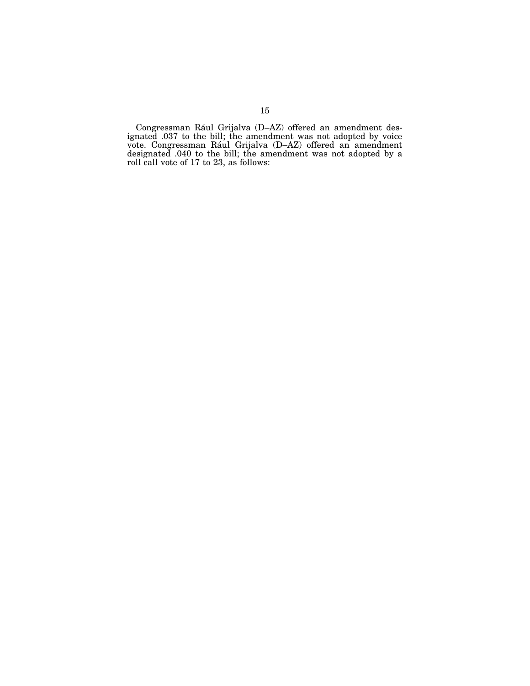Congressman Rául Grijalva (D-AZ) offered an amendment designated .037 to the bill; the amendment was not adopted by voice vote. Congressman Rául Grijalva (D-AZ) offered an amendment designated .040 to the bill; the amendment was not adopted by a roll call vote of 17 to 23, as follows: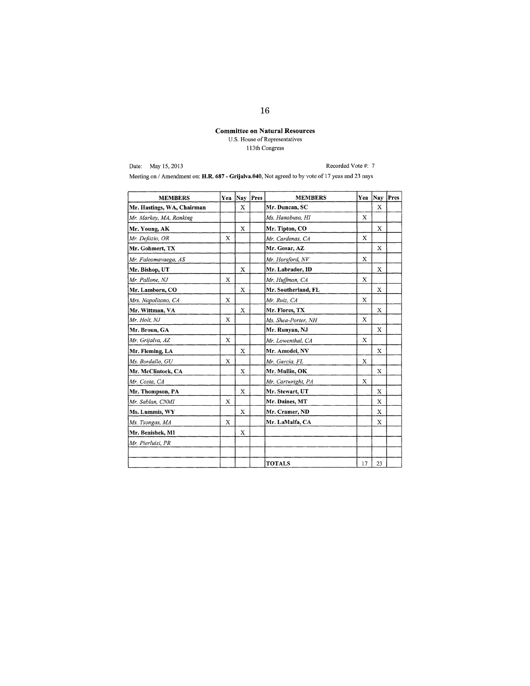### **Committee on Natural Resources**  U.S. House of Representatives I 13th Congress

Date: May 15, 2013

Recorded Vote #: 7

Meeting on / Amendment on: **H.R. 687 - Grijalva.040,** Not agreed to by vote of 17 yeas and 23 nays

| <b>MEMBERS</b>             | Yea | Nav | Pres | <b>MEMBERS</b>      | Yea         | Nay Pres    |  |
|----------------------------|-----|-----|------|---------------------|-------------|-------------|--|
| Mr. Hastings, WA, Chairman |     | X   |      | Mr. Duncan, SC      |             | X           |  |
| Mr. Markey, MA, Ranking    |     |     |      | Ms. Hanabusa, HI    | X           |             |  |
| Mr. Young, AK              |     | X   |      | Mr. Tipton, CO      |             | X           |  |
| Mr. Defazio, OR            | X   |     |      | Mr. Cardenas, CA    | X           |             |  |
| Mr. Gohmert, TX            |     |     |      | Mr. Gosar, AZ       |             | X           |  |
| Mr. Faleomavaega, AS       |     |     |      | Mr. Horsford, NV    | X           |             |  |
| Mr. Bishop, UT             |     | X   |      | Mr. Labrador, ID    |             | X           |  |
| Mr. Pallone, NJ            | X   |     |      | Mr. Huffman, CA     | X           |             |  |
| Mr. Lamborn, CO            |     | X   |      | Mr. Southerland, FL |             | X           |  |
| Mrs. Napolitano, CA        | X   |     |      | Mr. Ruiz, CA        | $\mathbf x$ |             |  |
| Mr. Wittman, VA            |     | Х   |      | Mr. Flores, TX      |             | X           |  |
| Mr. Holt, NJ               | X   |     |      | Ms. Shea-Porter, NH | X           |             |  |
| Mr. Broun, GA              |     |     |      | Mr. Runyan, NJ      |             | X           |  |
| Mr. Grijalva, AZ           | X   |     |      | Mr. Lowenthal, CA   | X           |             |  |
| Mr. Fleming, LA            |     | X   |      | Mr. Amodei, NV      |             | Х           |  |
| Ms. Bordallo, GU           | X   |     |      | Mr. Garcia, FL      | X           |             |  |
| Mr. McClintock, CA         |     | X   |      | Mr. Mullin, OK      |             | $\mathbf x$ |  |
| Mr. Costa, CA              |     |     |      | Mr. Cartwright, PA  | X           |             |  |
| Mr. Thompson, PA           |     | X   |      | Mr. Stewart, UT     |             | X           |  |
| Mr. Sablan, CNMI           | X   |     |      | Mr. Daines, MT      |             | X           |  |
| Ms. Lummis, WY             |     | X   |      | Mr. Cramer, ND      |             | X           |  |
| Ms. Tsongas, MA            | X   |     |      | Mr. LaMalfa, CA     |             | X           |  |
| Mr. Benishek, MI           |     | X   |      |                     |             |             |  |
| Mr. Pierluisi, PR          |     |     |      |                     |             |             |  |
|                            |     |     |      |                     |             |             |  |
|                            |     |     |      | <b>TOTALS</b>       | 17          | 23          |  |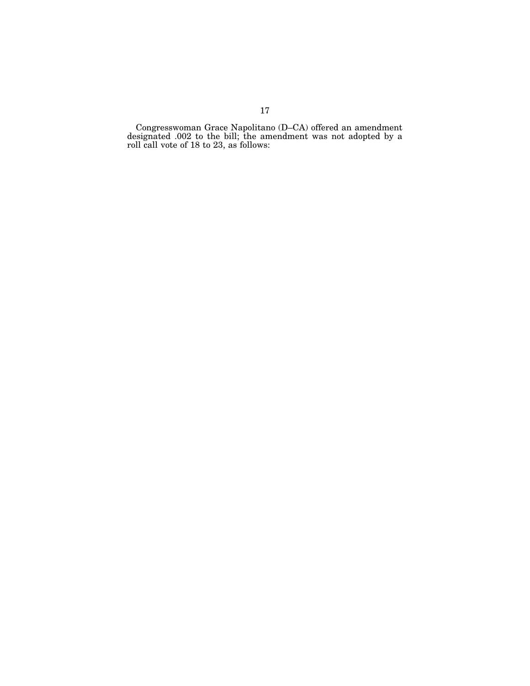Congresswoman Grace Napolitano (D–CA) offered an amendment designated .002 to the bill; the amendment was not adopted by a roll call vote of 18 to 23, as follows: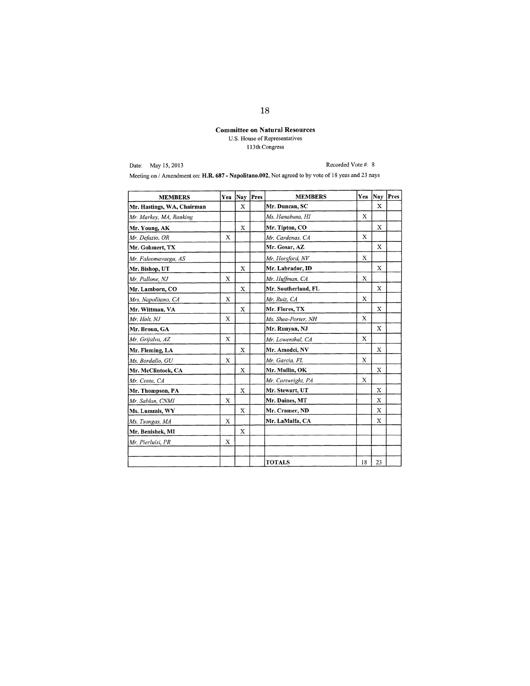# Committee on Natural Resources U.S. House of Representatives 1 13th Congress

Date: May 15,2013

Recorded Vote #: 8

Meeting on / Amendment on: H.R. 687 - Napolitano.002. Not agreed to by vote of 18 yeas and 23 nays

| <b>MEMBERS</b>             | Yea         | Nay Pres    | <b>MEMBERS</b>      | Yea         | Nay         | Pres |
|----------------------------|-------------|-------------|---------------------|-------------|-------------|------|
| Mr. Hastings, WA, Chairman |             | X           | Mr. Duncan, SC      |             | X           |      |
| Mr. Markey, MA, Ranking    |             |             | Ms. Hanabusa, HI    | $\mathbf x$ |             |      |
| Mr. Young, AK              |             | X           | Mr. Tipton, CO      |             | X           |      |
| Mr. Defazio, OR            | $\mathbf x$ |             | Mr. Cardenas, CA    | X           |             |      |
| Mr. Gohmert, TX            |             |             | Mr. Gosar, AZ       |             | X           |      |
| Mr. Faleomavaega, AS       |             |             | Mr. Horsford, NV    | X           |             |      |
| Mr. Bishop, UT             |             | X           | Mr. Labrador, ID    |             | $\mathbf x$ |      |
| Mr. Pallone, NJ            | X           |             | Mr. Huffman, CA     | X           |             |      |
| Mr. Lamborn, CO            |             | X           | Mr. Southerland, FL |             | $\mathbf x$ |      |
| Mrs. Napolitano, CA        | X           |             | Mr. Ruiz, CA        | X           |             |      |
| Mr. Wittman, VA            |             | X           | Mr. Flores, TX      |             | X           |      |
| Mr. Holt, NJ               | $\mathbf x$ |             | Ms, Shea-Porter, NH | $\mathbf x$ |             |      |
| Mr. Broun, GA              |             |             | Mr. Runyan, NJ      |             | X           |      |
| Mr. Grijalva, AZ           | X           |             | Mr. Lowenthal, CA   | X           |             |      |
| Mr. Fleming, LA            |             | X           | Mr. Amodei, NV      |             | X           |      |
| Ms. Bordallo, GU           | X           |             | Mr. Garcia, FL      | X           |             |      |
| Mr. McClintock, CA         |             | X           | Mr. Mullin, OK      |             | $\mathbf x$ |      |
| Mr. Costa, CA              |             |             | Mr. Cartwright, PA  | X           |             |      |
| Mr. Thompson, PA           |             | X           | Mr. Stewart, UT     |             | X           |      |
| Mr. Sablan, CNMI           | X           |             | Mr. Daines, MT      |             | $\mathbf x$ |      |
| Ms. Lummis, WY             |             | $\mathbf x$ | Mr. Cramer, ND      |             | X           |      |
| Ms. Tsongas, MA            | X           |             | Mr. LaMalfa, CA     |             | X           |      |
| Mr. Benishek, MI           |             | $\mathbf x$ |                     |             |             |      |
| Mr. Pierluisi, PR          | X           |             |                     |             |             |      |
|                            |             |             |                     |             |             |      |
|                            |             |             | <b>TOTALS</b>       | 18          | 23          |      |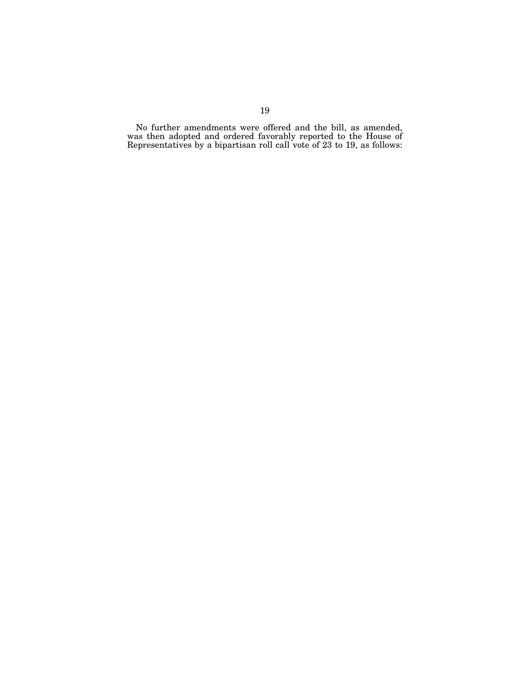No further amendments were offered and the bill, as amended, was then adopted and ordered favorably reported to the House of Representatives by a bipartisan roll call vote of 23 to 19, as follows: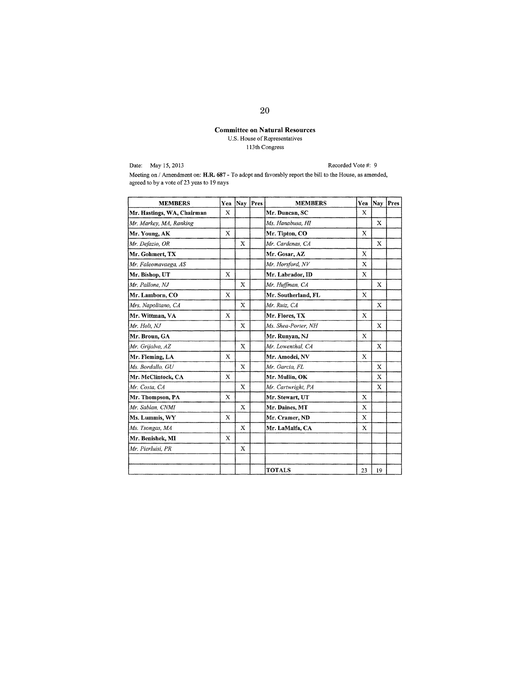# Committee on Natural Resources U.S. House of Representatives 1 13th Congress

Date: May 15, 2013

Recorded Vote #: 9

Meeting on / Amendment on: H.R. 687 - To adopt and favorably report the bill to the House, as amended, agreed to by a vote of 23 yeas to 19 nays

| <b>MEMBERS</b>             | Yea         |             | Nay Pres | <b>MEMBERS</b>      | Yea         | Nay Pres    |  |
|----------------------------|-------------|-------------|----------|---------------------|-------------|-------------|--|
| Mr. Hastings, WA, Chairman | X           |             |          | Mr. Duncan, SC      | X           |             |  |
| Mr. Markey, MA, Ranking    |             |             |          | Ms. Hanabusa, HI    |             | X           |  |
| Mr. Young, AK              | $\mathbf x$ |             |          | Mr. Tipton, CO      | $\mathbf x$ |             |  |
| Mr. Defazio, OR            |             | X           |          | Mr. Cardenas, CA    |             | X           |  |
| Mr. Gohmert, TX            |             |             |          | Mr. Gosar, AZ       | X           |             |  |
| Mr. Faleomavaega, AS       |             |             |          | Mr. Horsford, NV    | X           |             |  |
| Mr. Bishop, UT             | X           |             |          | Mr. Labrador, ID    | $\mathbf x$ |             |  |
| Mr. Pallone, NJ            |             | X           |          | Mr. Huffman, CA     |             | X           |  |
| Mr. Lamborn, CO            | X           |             |          | Mr. Southerland, FL | X           |             |  |
| Mrs. Napolitano, CA        |             | $\mathbf x$ |          | Mr. Ruiz, CA        |             | X           |  |
| Mr. Wittman, VA            | X           |             |          | Mr. Flores, TX      | X           |             |  |
| Mr. Holt, NJ               |             | $\mathbf x$ |          | Ms. Shea-Porter, NH |             | $\mathbf x$ |  |
| Mr. Broun, GA              |             |             |          | Mr. Runyan, NJ      | X           |             |  |
| Mr. Grijalva, AZ           |             | X           |          | Mr. Lowenthal, CA   |             | X           |  |
| Mr. Fleming, LA            | X           |             |          | Mr. Amodei, NV      | X           |             |  |
| Ms. Bordallo, GU           |             | X           |          | Mr. Garcia. FL      |             | X           |  |
| Mr. McClintock, CA         | X           |             |          | Mr. Mullin, OK      |             | X           |  |
| Mr. Costa, CA              |             | $\mathbf x$ |          | Mr. Cartwright, PA  |             | X           |  |
| Mr. Thompson, PA           | X           |             |          | Mr. Stewart, UT     | X           |             |  |
| Mr. Sablan, CNMI           |             | X           |          | Mr. Daines, MT      | X           |             |  |
| Ms. Lummis, WY             | X           |             |          | Mr. Cramer, ND      | X           |             |  |
| Ms. Tsongas, MA            |             | X           |          | Mr. LaMalfa, CA     | X           |             |  |
| Mr. Benishek, MI           | X           |             |          |                     |             |             |  |
| Mr. Pierluisi, PR          |             | X           |          |                     |             |             |  |
|                            |             |             |          |                     |             |             |  |
|                            |             |             |          | <b>TOTALS</b>       | 23          | 19          |  |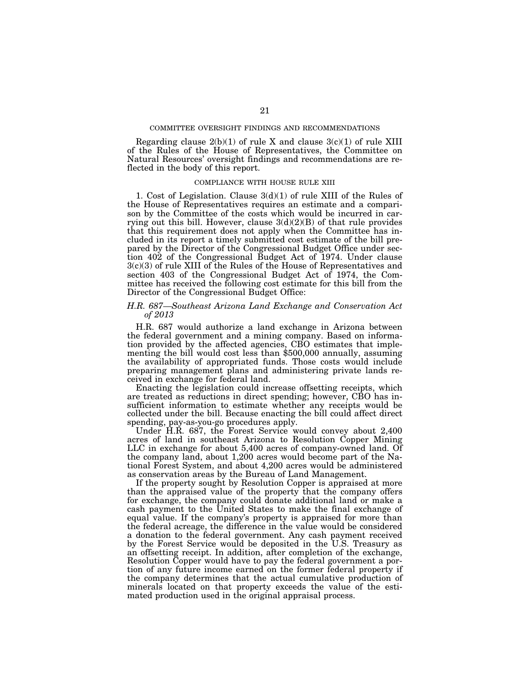Regarding clause  $2(b)(1)$  of rule X and clause  $3(c)(1)$  of rule XIII of the Rules of the House of Representatives, the Committee on Natural Resources' oversight findings and recommendations are reflected in the body of this report.

#### COMPLIANCE WITH HOUSE RULE XIII

1. Cost of Legislation. Clause 3(d)(1) of rule XIII of the Rules of the House of Representatives requires an estimate and a comparison by the Committee of the costs which would be incurred in carrying out this bill. However, clause  $3(d)(2)(B)$  of that rule provides that this requirement does not apply when the Committee has included in its report a timely submitted cost estimate of the bill prepared by the Director of the Congressional Budget Office under section 402 of the Congressional Budget Act of 1974. Under clause 3(c)(3) of rule XIII of the Rules of the House of Representatives and section 403 of the Congressional Budget Act of 1974, the Committee has received the following cost estimate for this bill from the Director of the Congressional Budget Office:

### *H.R. 687—Southeast Arizona Land Exchange and Conservation Act of 2013*

H.R. 687 would authorize a land exchange in Arizona between the federal government and a mining company. Based on information provided by the affected agencies, CBO estimates that implementing the bill would cost less than \$500,000 annually, assuming the availability of appropriated funds. Those costs would include preparing management plans and administering private lands received in exchange for federal land.

Enacting the legislation could increase offsetting receipts, which are treated as reductions in direct spending; however, CBO has insufficient information to estimate whether any receipts would be collected under the bill. Because enacting the bill could affect direct spending, pay-as-you-go procedures apply.

Under H.R. 687, the Forest Service would convey about 2,400 acres of land in southeast Arizona to Resolution Copper Mining LLC in exchange for about 5,400 acres of company-owned land. Of the company land, about 1,200 acres would become part of the National Forest System, and about 4,200 acres would be administered as conservation areas by the Bureau of Land Management.

If the property sought by Resolution Copper is appraised at more than the appraised value of the property that the company offers for exchange, the company could donate additional land or make a cash payment to the United States to make the final exchange of equal value. If the company's property is appraised for more than the federal acreage, the difference in the value would be considered a donation to the federal government. Any cash payment received by the Forest Service would be deposited in the U.S. Treasury as an offsetting receipt. In addition, after completion of the exchange, Resolution Copper would have to pay the federal government a portion of any future income earned on the former federal property if the company determines that the actual cumulative production of minerals located on that property exceeds the value of the estimated production used in the original appraisal process.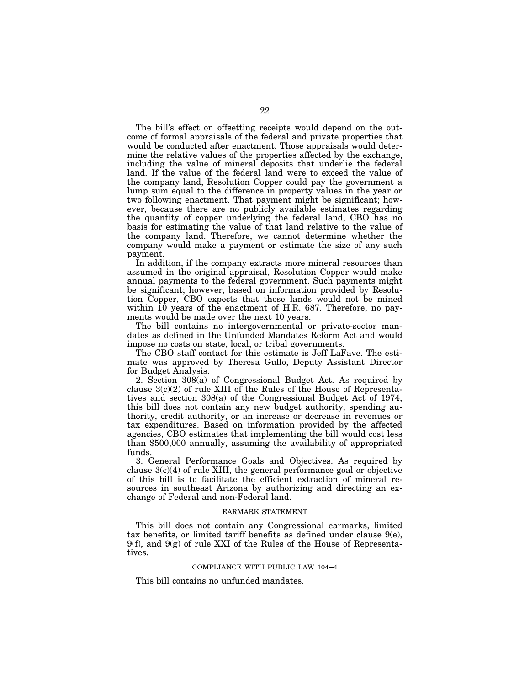The bill's effect on offsetting receipts would depend on the outcome of formal appraisals of the federal and private properties that would be conducted after enactment. Those appraisals would determine the relative values of the properties affected by the exchange, including the value of mineral deposits that underlie the federal land. If the value of the federal land were to exceed the value of the company land, Resolution Copper could pay the government a lump sum equal to the difference in property values in the year or two following enactment. That payment might be significant; however, because there are no publicly available estimates regarding the quantity of copper underlying the federal land, CBO has no basis for estimating the value of that land relative to the value of the company land. Therefore, we cannot determine whether the company would make a payment or estimate the size of any such payment.

In addition, if the company extracts more mineral resources than assumed in the original appraisal, Resolution Copper would make annual payments to the federal government. Such payments might be significant; however, based on information provided by Resolution Copper, CBO expects that those lands would not be mined within 10 years of the enactment of H.R. 687. Therefore, no payments would be made over the next 10 years.

The bill contains no intergovernmental or private-sector mandates as defined in the Unfunded Mandates Reform Act and would impose no costs on state, local, or tribal governments.

The CBO staff contact for this estimate is Jeff LaFave. The estimate was approved by Theresa Gullo, Deputy Assistant Director for Budget Analysis.

2. Section 308(a) of Congressional Budget Act. As required by clause  $3(c)(2)$  of rule XIII of the Rules of the House of Representatives and section 308(a) of the Congressional Budget Act of 1974, this bill does not contain any new budget authority, spending authority, credit authority, or an increase or decrease in revenues or tax expenditures. Based on information provided by the affected agencies, CBO estimates that implementing the bill would cost less than \$500,000 annually, assuming the availability of appropriated funds.

3. General Performance Goals and Objectives. As required by clause  $3(c)(4)$  of rule XIII, the general performance goal or objective of this bill is to facilitate the efficient extraction of mineral resources in southeast Arizona by authorizing and directing an exchange of Federal and non-Federal land.

#### EARMARK STATEMENT

This bill does not contain any Congressional earmarks, limited tax benefits, or limited tariff benefits as defined under clause  $9(e)$ ,  $9(f)$ , and  $9(g)$  of rule XXI of the Rules of the House of Representatives.

#### COMPLIANCE WITH PUBLIC LAW 104–4

This bill contains no unfunded mandates.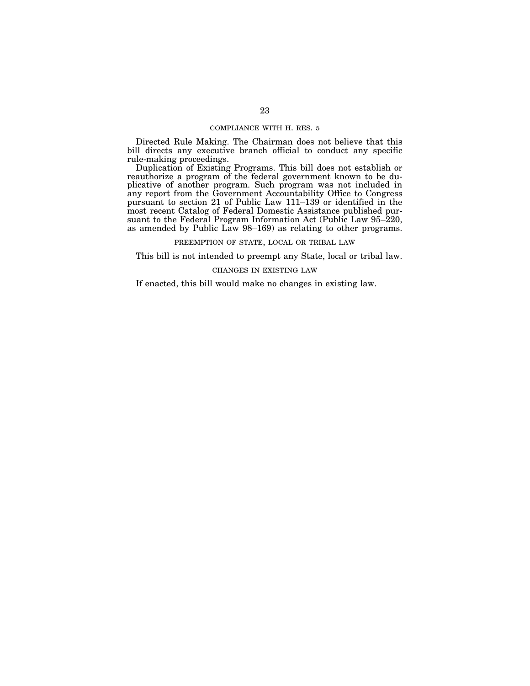#### COMPLIANCE WITH H. RES. 5

Directed Rule Making. The Chairman does not believe that this bill directs any executive branch official to conduct any specific rule-making proceedings.

Duplication of Existing Programs. This bill does not establish or reauthorize a program of the federal government known to be duplicative of another program. Such program was not included in any report from the Government Accountability Office to Congress pursuant to section 21 of Public Law 111–139 or identified in the most recent Catalog of Federal Domestic Assistance published pursuant to the Federal Program Information Act (Public Law 95–220, as amended by Public Law 98–169) as relating to other programs.

PREEMPTION OF STATE, LOCAL OR TRIBAL LAW

This bill is not intended to preempt any State, local or tribal law.

### CHANGES IN EXISTING LAW

If enacted, this bill would make no changes in existing law.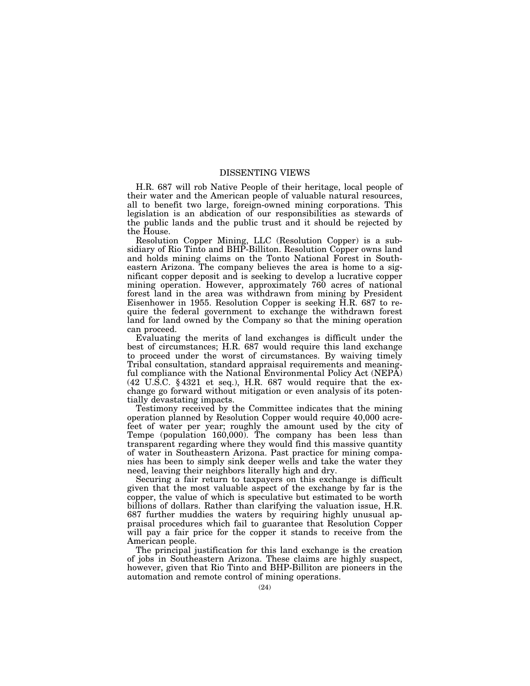### DISSENTING VIEWS

H.R. 687 will rob Native People of their heritage, local people of their water and the American people of valuable natural resources, all to benefit two large, foreign-owned mining corporations. This legislation is an abdication of our responsibilities as stewards of the public lands and the public trust and it should be rejected by the House.

Resolution Copper Mining, LLC (Resolution Copper) is a subsidiary of Rio Tinto and BHP-Billiton. Resolution Copper owns land and holds mining claims on the Tonto National Forest in Southeastern Arizona. The company believes the area is home to a significant copper deposit and is seeking to develop a lucrative copper mining operation. However, approximately 760 acres of national forest land in the area was withdrawn from mining by President Eisenhower in 1955. Resolution Copper is seeking H.R. 687 to require the federal government to exchange the withdrawn forest land for land owned by the Company so that the mining operation can proceed.

Evaluating the merits of land exchanges is difficult under the best of circumstances; H.R. 687 would require this land exchange to proceed under the worst of circumstances. By waiving timely Tribal consultation, standard appraisal requirements and meaningful compliance with the National Environmental Policy Act (NEPA) (42 U.S.C. § 4321 et seq.), H.R. 687 would require that the exchange go forward without mitigation or even analysis of its potentially devastating impacts.

Testimony received by the Committee indicates that the mining operation planned by Resolution Copper would require 40,000 acrefeet of water per year; roughly the amount used by the city of Tempe (population 160,000). The company has been less than transparent regarding where they would find this massive quantity of water in Southeastern Arizona. Past practice for mining companies has been to simply sink deeper wells and take the water they need, leaving their neighbors literally high and dry.

Securing a fair return to taxpayers on this exchange is difficult given that the most valuable aspect of the exchange by far is the copper, the value of which is speculative but estimated to be worth billions of dollars. Rather than clarifying the valuation issue, H.R. 687 further muddies the waters by requiring highly unusual appraisal procedures which fail to guarantee that Resolution Copper will pay a fair price for the copper it stands to receive from the American people.

The principal justification for this land exchange is the creation of jobs in Southeastern Arizona. These claims are highly suspect, however, given that Rio Tinto and BHP-Billiton are pioneers in the automation and remote control of mining operations.